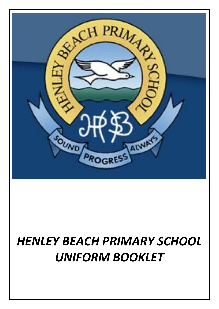

# *HENLEY BEACH PRIMARY SCHOOL UNIFORM BOOKLET*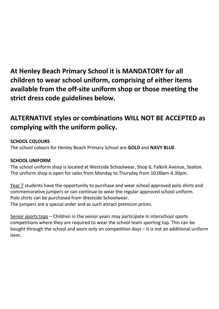**At Henley Beach Primary School it is MANDATORY for all children to wear school uniform, comprising of either items available from the off-site uniform shop or those meeting the strict dress code guidelines below.**

## **ALTERNATIVE styles or combinations WILL NOT BE ACCEPTED as complying with the uniform policy.**

### **SCHOOL COLOURS**

The school colours for Henley Beach Primary School are **GOLD** and **NAVY BLUE**.

### **SCHOOL UNIFORM**

The school uniform shop is located at Westside Schoolwear, Shop 6, Falkirk Avenue, Seaton. The uniform shop is open for sales from Monday to Thursday from 10.00am-4.30pm.

Year 7 students have the opportunity to purchase and wear school approved polo shirts and commemorative jumpers or can continue to wear the regular approved school uniform. Polo shirts can be purchased from Westside Schoolwear.

The jumpers are a special order and as such attract premium prices.

Senior sports tops – Children in the senior years may participate in interschool sports competitions where they are required to wear the school team sporting top. This can be bought through the school and worn only on competition days – it is not an additional uniform item.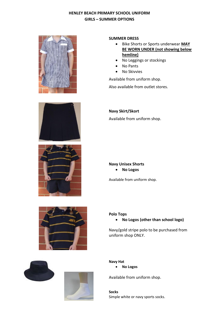#### **HENLEY BEACH PRIMARY SCHOOL UNIFORM GIRLS – SUMMER OPTIONS**











- Bike Shorts or Sports underwear **MAY BE WORN UNDER (not showing below hemline)**
- No Leggings or stockings
- No Pants
- No Skivvies

Available from uniform shop.

Also available from outlet stores.

**Navy Skirt/Skort**

Available from uniform shop.

#### **Navy Unisex Shorts**

**No Logos** 

Available from uniform shop.





#### **Polo Tops**

**No Logos (other than school logo)**

Navy/gold stripe polo to be purchased from uniform shop ONLY.

**Navy Hat No Logos** 

Available from uniform shop.

**Socks** Simple white or navy sports socks.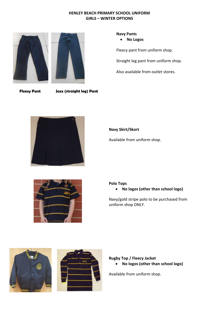#### **HENLEY BEACH PRIMARY SCHOOL UNIFORM GIRLS – WINTER OPTIONS**



#### **Navy Pants**

**No Logos**

Fleecy pant from uniform shop.

Straight leg pant from uniform shop.

Also available from outlet stores.

 **Fleecy Pant Jazz (straight leg) Pant**



#### **Navy Skirt/Skort**

Available from uniform shop.



#### **Polo Tops**

**No logos (other than school logo)**

Navy/gold stripe polo to be purchased from uniform shop ONLY.





#### **Rugby Top / Fleecy Jacket**

**No logos (other than school logo)**

Available from uniform shop.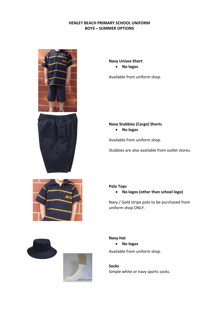#### **HENLEY BEACH PRIMARY SCHOOL UNIFORM BOYS – SUMMER OPTIONS**











**Navy Unisex Short**

**No logos** 

Available from uniform shop.

#### **Navy Stubbies (Cargo) Shorts**

**No logos** 

Available from uniform shop.

Stubbies are also available from outlet stores.

#### **Polo Tops**

**No logos (other than school logo)**

Navy / Gold stripe polo to be purchased from uniform shop ONLY.

#### **Navy Hat**

**No logos** 

Available from uniform shop.

**Socks** Simple white or navy sports socks.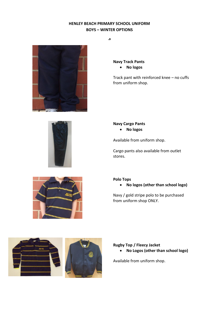#### **HENLEY BEACH PRIMARY SCHOOL UNIFORM BOYS – WINTER OPTIONS**

**.3**



**Navy Track Pants** 

**No logos** 

Track pant with reinforced knee – no cuffs from uniform shop.



#### **Navy Cargo Pants**

**No logos**

Available from uniform shop.

Cargo pants also available from outlet stores.



**Polo Tops**

**No logos (other than school logo)**

Navy / gold stripe polo to be purchased from uniform shop ONLY.



#### **Rugby Top / Fleecy Jacket**

**No Logos (other than school logo)**

Available from uniform shop.